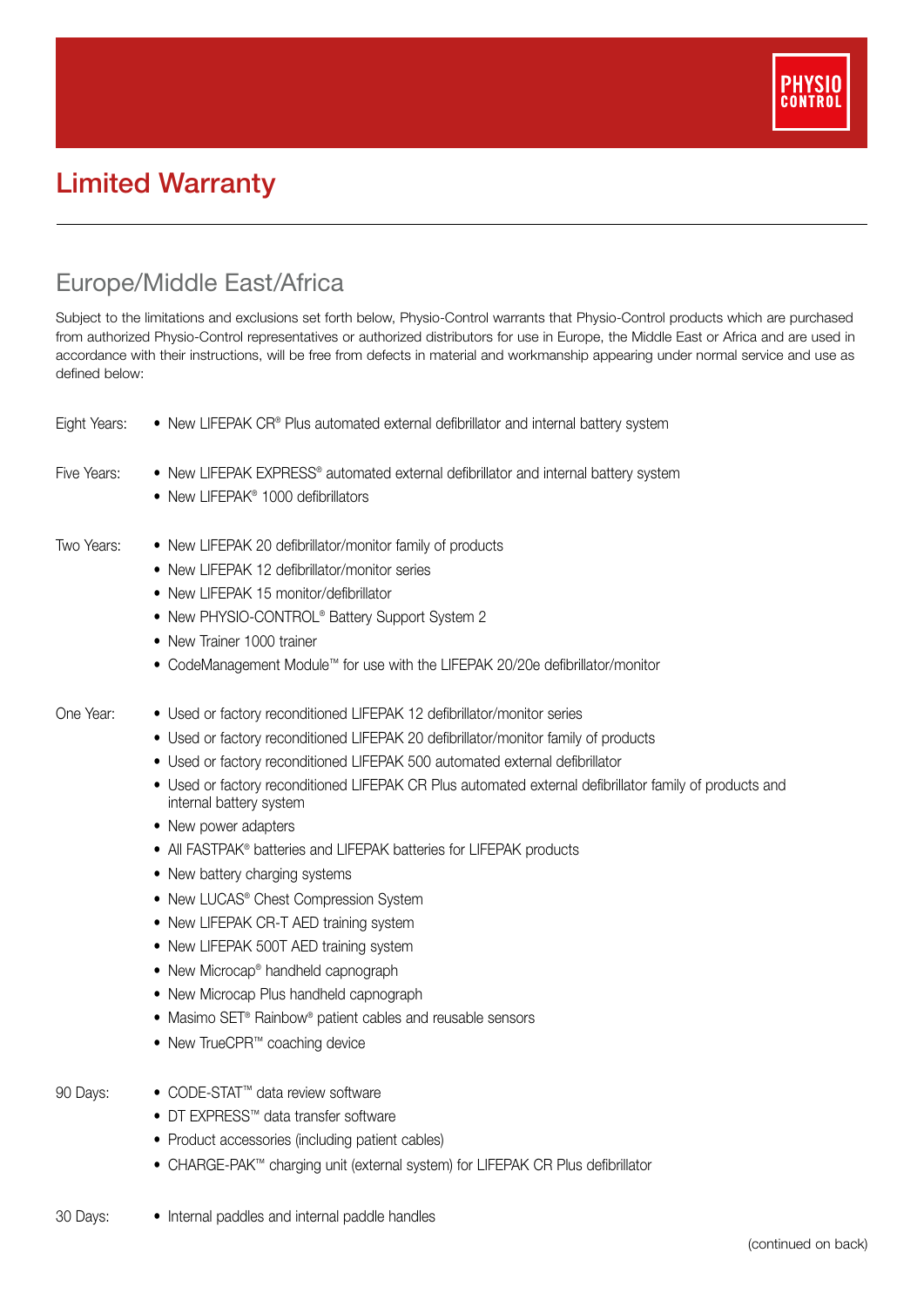

## Limited Warranty

## Europe/Middle East/Africa

Subject to the limitations and exclusions set forth below, Physio-Control warrants that Physio-Control products which are purchased from authorized Physio-Control representatives or authorized distributors for use in Europe, the Middle East or Africa and are used in accordance with their instructions, will be free from defects in material and workmanship appearing under normal service and use as defined below:

| Eight Years: | • New LIFEPAK CR® Plus automated external defibrillator and internal battery system                                                                                                                                                                                                                                                                                                                                                                                                                                                                                                                                                                                                                                                                                                                                                                                                  |
|--------------|--------------------------------------------------------------------------------------------------------------------------------------------------------------------------------------------------------------------------------------------------------------------------------------------------------------------------------------------------------------------------------------------------------------------------------------------------------------------------------------------------------------------------------------------------------------------------------------------------------------------------------------------------------------------------------------------------------------------------------------------------------------------------------------------------------------------------------------------------------------------------------------|
| Five Years:  | • New LIFEPAK EXPRESS® automated external defibrillator and internal battery system<br>• New LIFEPAK <sup>®</sup> 1000 defibrillators                                                                                                                                                                                                                                                                                                                                                                                                                                                                                                                                                                                                                                                                                                                                                |
| Two Years:   | • New LIFEPAK 20 defibrillator/monitor family of products<br>• New LIFEPAK 12 defibrillator/monitor series<br>• New LIFEPAK 15 monitor/defibrillator<br>• New PHYSIO-CONTROL® Battery Support System 2<br>• New Trainer 1000 trainer<br>• CodeManagement Module <sup>™</sup> for use with the LIFEPAK 20/20e defibrillator/monitor                                                                                                                                                                                                                                                                                                                                                                                                                                                                                                                                                   |
| One Year:    | • Used or factory reconditioned LIFEPAK 12 defibrillator/monitor series<br>• Used or factory reconditioned LIFEPAK 20 defibrillator/monitor family of products<br>• Used or factory reconditioned LIFEPAK 500 automated external defibrillator<br>• Used or factory reconditioned LIFEPAK CR Plus automated external defibrillator family of products and<br>internal battery system<br>• New power adapters<br>• All FASTPAK® batteries and LIFEPAK batteries for LIFEPAK products<br>• New battery charging systems<br>• New LUCAS® Chest Compression System<br>• New LIFEPAK CR-T AED training system<br>• New LIFEPAK 500T AED training system<br>• New Microcap <sup>®</sup> handheld capnograph<br>• New Microcap Plus handheld capnograph<br>• Masimo SET <sup>®</sup> Rainbow <sup>®</sup> patient cables and reusable sensors<br>• New TrueCPR <sup>™</sup> coaching device |
| 90 Days:     | ● CODE-STAT <sup>™</sup> data review software<br>• DT EXPRESS™ data transfer software<br>• Product accessories (including patient cables)<br>• CHARGE-PAK™ charging unit (external system) for LIFEPAK CR Plus defibrillator                                                                                                                                                                                                                                                                                                                                                                                                                                                                                                                                                                                                                                                         |
| 30 Days:     | • Internal paddles and internal paddle handles                                                                                                                                                                                                                                                                                                                                                                                                                                                                                                                                                                                                                                                                                                                                                                                                                                       |